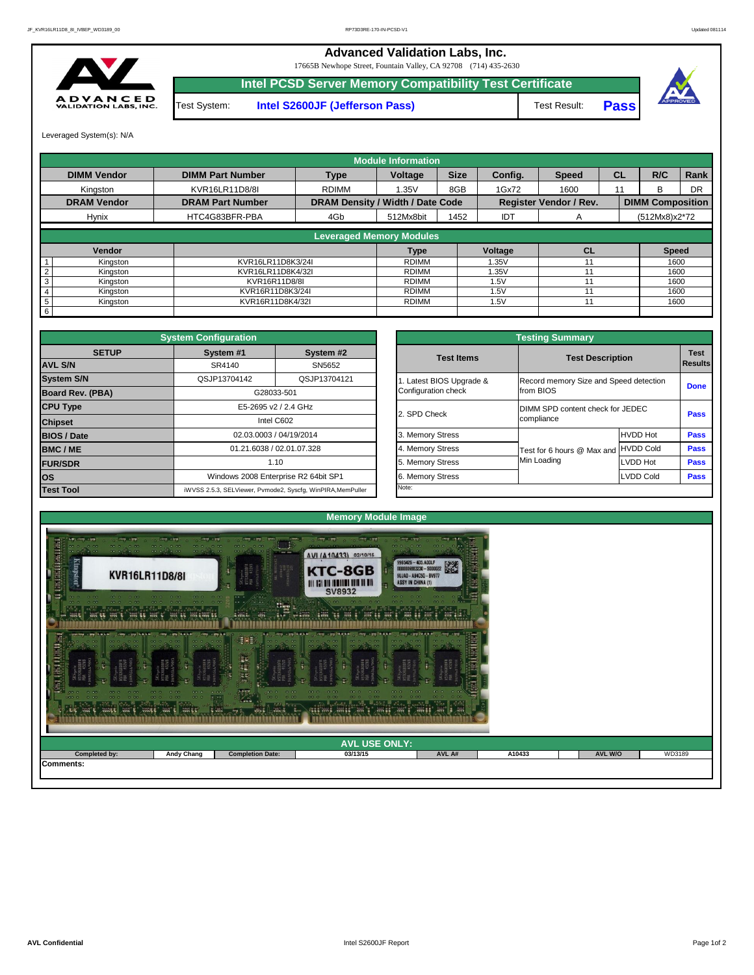| ____<br>WWW. E. WHOLE WAY & WHOLE WAY & WHOLE | $\sim$<br>.       | <b>Cardin</b><br>It an  | $7222 - 641$<br><b>TANK</b> | <b>And 11</b><br>W. I W. |        |                |        |
|-----------------------------------------------|-------------------|-------------------------|-----------------------------|--------------------------|--------|----------------|--------|
|                                               |                   |                         | <b>AVL USE ONLY:</b>        |                          |        |                |        |
| <b>Completed by:</b>                          | <b>Andy Chang</b> | <b>Completion Date:</b> | 03/13/15                    | AVL A#                   | A10433 | <b>AVL W/O</b> | WD3189 |
| Comments:                                     |                   |                         |                             |                          |        |                |        |



|                         |                                                 | <b>Testing Summary</b>                              |                                  |                               |  |  |  |  |
|-------------------------|-------------------------------------------------|-----------------------------------------------------|----------------------------------|-------------------------------|--|--|--|--|
| System #2<br>SN5652     | <b>Test Items</b>                               | <b>Test Description</b>                             |                                  | <b>Test</b><br><b>Results</b> |  |  |  |  |
| QSJP13704121            | 1. Latest BIOS Upgrade &<br>Configuration check | Record memory Size and Speed detection<br>from BIOS |                                  | <b>Done</b>                   |  |  |  |  |
| <b>GHz</b>              | 2. SPD Check                                    | compliance                                          | DIMM SPD content check for JEDEC |                               |  |  |  |  |
| /2014                   | 3. Memory Stress                                |                                                     | <b>HVDD Hot</b>                  | <b>Pass</b>                   |  |  |  |  |
| )7.328                  | 4. Memory Stress                                | Test for 6 hours @ Max and                          | <b>HVDD Cold</b>                 | <b>Pass</b>                   |  |  |  |  |
|                         | 5. Memory Stress                                | Min Loading                                         | <b>LVDD Hot</b>                  | <b>Pass</b>                   |  |  |  |  |
| R2 64bit SP1            | 6. Memory Stress                                |                                                     | <b>LVDD Cold</b>                 | <b>Pass</b>                   |  |  |  |  |
| cfg, WinPIRA, MemPuller | Note:                                           |                                                     |                                  |                               |  |  |  |  |

|                         | <b>System Configuration</b> |                                                             |                       | <b>Testing Summary</b>                 |                  |                |
|-------------------------|-----------------------------|-------------------------------------------------------------|-----------------------|----------------------------------------|------------------|----------------|
| <b>SETUP</b>            | System #1                   | System #2                                                   | <b>Test Items</b>     | <b>Test Description</b>                |                  | <b>Test</b>    |
| <b>AVL S/N</b>          | SR4140                      | SN5652                                                      |                       |                                        |                  | <b>Results</b> |
| <b>System S/N</b>       | QSJP13704142                | QSJP13704121                                                | Latest BIOS Upgrade & | Record memory Size and Speed detection |                  | <b>Done</b>    |
| <b>Board Rev. (PBA)</b> |                             | G28033-501                                                  | Configuration check   | from BIOS                              |                  |                |
| <b>CPU Type</b>         |                             | E5-2695 v2 / 2.4 GHz                                        | 2. SPD Check          | DIMM SPD content check for JEDEC       |                  | <b>Pass</b>    |
| <b>Chipset</b>          |                             | Intel C602                                                  |                       | compliance                             |                  |                |
| <b>BIOS / Date</b>      |                             | 02.03.0003 / 04/19/2014                                     | 3. Memory Stress      |                                        | <b>HVDD Hot</b>  | <b>Pass</b>    |
| <b>BMC/ME</b>           |                             | 01.21.6038 / 02.01.07.328                                   | 4. Memory Stress      | Test for 6 hours @ Max and             | <b>HVDD Cold</b> | <b>Pass</b>    |
| <b>FUR/SDR</b>          |                             | 1.10                                                        | 5. Memory Stress      | Min Loading                            | <b>LVDD Hot</b>  | <b>Pass</b>    |
| <b>los</b>              |                             | Windows 2008 Enterprise R2 64bit SP1                        | 6. Memory Stress      |                                        | LVDD Cold        | <b>Pass</b>    |
| <b>Test Tool</b>        |                             | iWVSS 2.5.3, SELViewer, Pvmode2, Syscfg, WinPIRA, MemPuller | Note:                 |                                        |                  |                |

**Intel PCSD Server Memory Compatibility Test Certificate** Test System: **Intel S2600JF (Jefferson Pass)** Test Result:

|                 |                    |                         |                                         | <b>Module Information</b> |             |            |                               |           |                         |      |
|-----------------|--------------------|-------------------------|-----------------------------------------|---------------------------|-------------|------------|-------------------------------|-----------|-------------------------|------|
|                 | <b>DIMM Vendor</b> | <b>DIMM Part Number</b> | <b>Type</b>                             | <b>Voltage</b>            | <b>Size</b> | Config.    | <b>Speed</b>                  | <b>CL</b> | R/C                     | Rank |
|                 | Kingston           | KVR16LR11D8/8I          | <b>RDIMM</b>                            | 1.35V                     | 8GB         | 1Gx72      | 1600                          | 11        | B.                      | DR   |
|                 | <b>DRAM Vendor</b> | <b>DRAM Part Number</b> | <b>DRAM Density / Width / Date Code</b> |                           |             |            | <b>Register Vendor / Rev.</b> |           | <b>DIMM Composition</b> |      |
|                 | <b>Hynix</b>       | HTC4G83BFR-PBA          | 4Gb                                     | 512Mx8bit                 | 1452        | <b>IDT</b> | $\mathsf{A}$                  |           | $(512Mx8)x2*72$         |      |
|                 |                    |                         | <b>Leveraged Memory Modules</b>         |                           |             |            |                               |           |                         |      |
|                 |                    |                         |                                         |                           |             |            |                               |           |                         |      |
|                 | <b>Vendor</b>      |                         |                                         | <b>Type</b>               |             | Voltage    | <b>CL</b>                     |           | <b>Speed</b>            |      |
|                 | Kingston           | KVR16LR11D8K3/24I       |                                         | <b>RDIMM</b>              |             | 1.35V      |                               |           | 1600                    |      |
|                 | Kingston           | KVR16LR11D8K4/32I       |                                         | <b>RDIMM</b>              |             | 1.35V      |                               |           | 1600                    |      |
| 3               | Kingston           | KVR16R11D8/8I           |                                         | <b>RDIMM</b>              |             | 1.5V       |                               |           | 1600                    |      |
|                 | Kingston           | KVR16R11D8K3/24I        |                                         | RDIMM                     |             | 1.5V       |                               |           | 1600                    |      |
| $5\phantom{.0}$ | Kingston           | KVR16R11D8K4/32I        |                                         | <b>RDIMM</b>              |             | 1.5V       |                               |           |                         | 1600 |
| 6               |                    |                         |                                         |                           |             |            |                               |           |                         |      |

**Pass**



17665B Newhope Street, Fountain Valley, CA 92708 (714) 435-2630



## **Advanced Validation Labs, Inc.**

Leveraged System(s): N/A